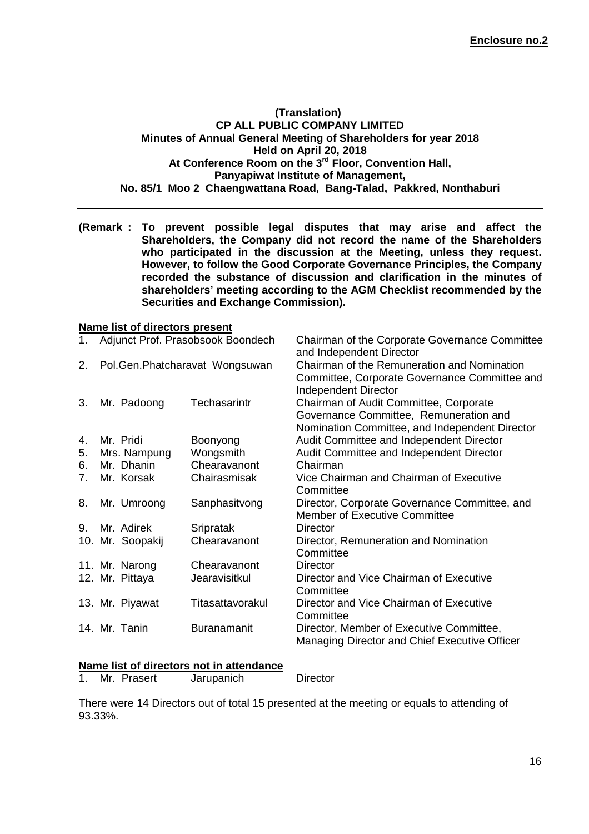#### **(Translation) CP ALL PUBLIC COMPANY LIMITED Minutes of Annual General Meeting of Shareholders for year 2018 Held on April 20, 2018 At Conference Room on the 3rd Floor, Convention Hall, Panyapiwat Institute of Management, No. 85/1 Moo 2 Chaengwattana Road, Bang-Talad, Pakkred, Nonthaburi**

**(Remark : To prevent possible legal disputes that may arise and affect the Shareholders, the Company did not record the name of the Shareholders who participated in the discussion at the Meeting, unless they request. However, to follow the Good Corporate Governance Principles, the Company recorded the substance of discussion and clarification in the minutes of shareholders' meeting according to the AGM Checklist recommended by the Securities and Exchange Commission).** 

#### **Name list of directors present**

| 1. | Adjunct Prof. Prasobsook Boondech |                  |                                | Chairman of the Corporate Governance Committee<br>and Independent Director                                                         |
|----|-----------------------------------|------------------|--------------------------------|------------------------------------------------------------------------------------------------------------------------------------|
| 2. |                                   |                  | Pol.Gen.Phatcharavat Wongsuwan | Chairman of the Remuneration and Nomination<br>Committee, Corporate Governance Committee and<br>Independent Director               |
| 3. |                                   | Mr. Padoong      | Techasarintr                   | Chairman of Audit Committee, Corporate<br>Governance Committee, Remuneration and<br>Nomination Committee, and Independent Director |
| 4. |                                   | Mr. Pridi        | Boonyong                       | Audit Committee and Independent Director                                                                                           |
| 5. |                                   | Mrs. Nampung     | Wongsmith                      | Audit Committee and Independent Director                                                                                           |
| 6. |                                   | Mr. Dhanin       | Chearavanont                   | Chairman                                                                                                                           |
| 7. |                                   | Mr. Korsak       | Chairasmisak                   | Vice Chairman and Chairman of Executive<br>Committee                                                                               |
| 8. |                                   | Mr. Umroong      | Sanphasitvong                  | Director, Corporate Governance Committee, and<br><b>Member of Executive Committee</b>                                              |
| 9. |                                   | Mr. Adirek       | Sripratak                      | Director                                                                                                                           |
|    |                                   | 10. Mr. Soopakij | Chearavanont                   | Director, Remuneration and Nomination<br>Committee                                                                                 |
|    |                                   | 11. Mr. Narong   | Chearavanont                   | Director                                                                                                                           |
|    |                                   | 12. Mr. Pittaya  | Jearavisitkul                  | Director and Vice Chairman of Executive<br>Committee                                                                               |
|    |                                   | 13. Mr. Piyawat  | Titasattavorakul               | Director and Vice Chairman of Executive<br>Committee                                                                               |
|    |                                   | 14. Mr. Tanin    | <b>Buranamanit</b>             | Director, Member of Executive Committee,<br>Managing Director and Chief Executive Officer                                          |

#### **Name list of directors not in attendance**

1. Mr. Prasert Jarupanich Director

There were 14 Directors out of total 15 presented at the meeting or equals to attending of 93.33%.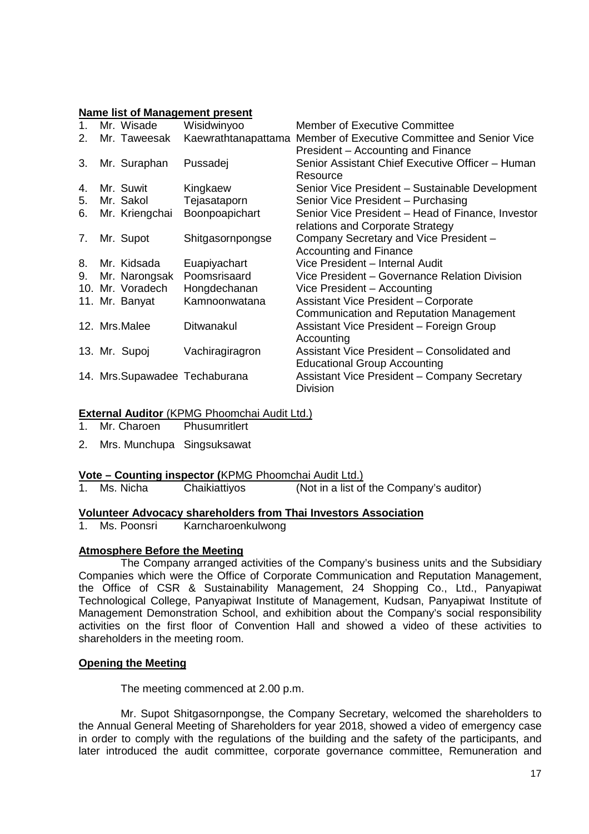#### **Name list of Management present**

| $\mathbf{1}$ . | Mr. Wisade       | Wisidwinyoo                   | <b>Member of Executive Committee</b>                              |
|----------------|------------------|-------------------------------|-------------------------------------------------------------------|
| 2.             | Mr. Taweesak     |                               | Kaewrathtanapattama Member of Executive Committee and Senior Vice |
|                |                  |                               | President – Accounting and Finance                                |
| 3.             | Mr. Suraphan     | Pussadej                      | Senior Assistant Chief Executive Officer - Human                  |
|                |                  |                               | Resource                                                          |
| 4.             | Mr. Suwit        | Kingkaew                      | Senior Vice President - Sustainable Development                   |
| 5.             | Mr. Sakol        | Tejasataporn                  | Senior Vice President - Purchasing                                |
| 6.             | Mr. Kriengchai   | Boonpoapichart                | Senior Vice President – Head of Finance, Investor                 |
|                |                  |                               | relations and Corporate Strategy                                  |
| 7.             | Mr. Supot        | Shitgasornpongse              | Company Secretary and Vice President -                            |
|                |                  |                               | <b>Accounting and Finance</b>                                     |
| 8.             | Mr. Kidsada      | Euapiyachart                  | Vice President - Internal Audit                                   |
| 9.             | Mr. Narongsak    | Poomsrisaard                  | Vice President – Governance Relation Division                     |
|                | 10. Mr. Voradech | Hongdechanan                  | Vice President - Accounting                                       |
|                | 11. Mr. Banyat   | Kamnoonwatana                 | <b>Assistant Vice President - Corporate</b>                       |
|                |                  |                               | Communication and Reputation Management                           |
|                | 12. Mrs.Malee    | Ditwanakul                    | Assistant Vice President - Foreign Group                          |
|                |                  |                               | Accounting                                                        |
|                | 13. Mr. Supoj    | Vachiragiragron               | Assistant Vice President - Consolidated and                       |
|                |                  |                               | <b>Educational Group Accounting</b>                               |
|                |                  | 14. Mrs.Supawadee Techaburana | <b>Assistant Vice President - Company Secretary</b>               |
|                |                  |                               | <b>Division</b>                                                   |

# **External Auditor** (KPMG Phoomchai Audit Ltd.)

- 1. Mr. Charoen Phusumritlert
- 2. Mrs. MunchupaSingsuksawat

# **Vote – Counting inspector (**KPMG Phoomchai Audit Ltd.)

1. Ms. Nicha Chaikiattiyos (Not in a list of the Company's auditor)

# **Volunteer Advocacy shareholders from Thai Investors Association**

1. Ms. Poonsri Karncharoenkulwong

# **Atmosphere Before the Meeting**

The Company arranged activities of the Company's business units and the Subsidiary Companies which were the Office of Corporate Communication and Reputation Management, the Office of CSR & Sustainability Management, 24 Shopping Co., Ltd., Panyapiwat Technological College, Panyapiwat Institute of Management, Kudsan, Panyapiwat Institute of Management Demonstration School, and exhibition about the Company's social responsibility activities on the first floor of Convention Hall and showed a video of these activities to shareholders in the meeting room.

# **Opening the Meeting**

The meeting commenced at 2.00 p.m.

Mr. Supot Shitgasornpongse, the Company Secretary, welcomed the shareholders to the Annual General Meeting of Shareholders for year 2018, showed a video of emergency case in order to comply with the regulations of the building and the safety of the participants, and later introduced the audit committee, corporate governance committee, Remuneration and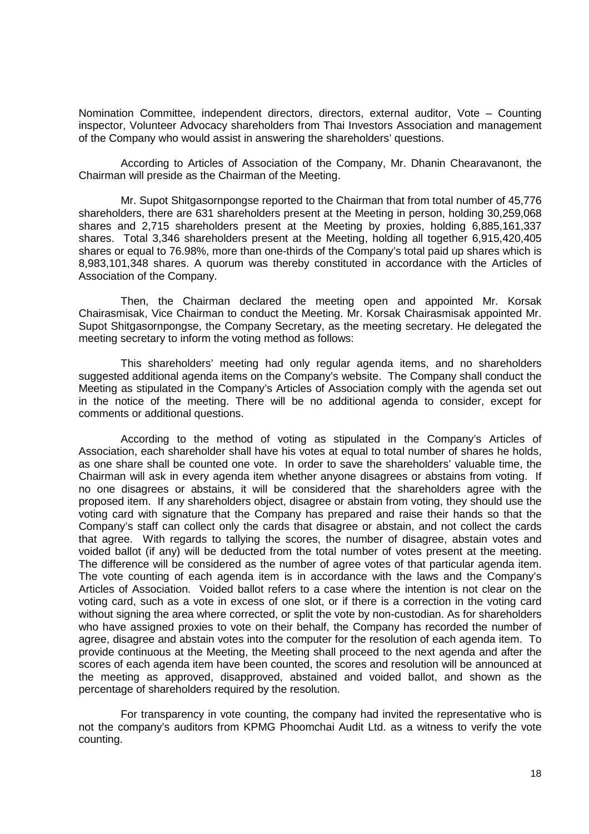Nomination Committee, independent directors, directors, external auditor, Vote – Counting inspector, Volunteer Advocacy shareholders from Thai Investors Association and management of the Company who would assist in answering the shareholders' questions.

According to Articles of Association of the Company, Mr. Dhanin Chearavanont, the Chairman will preside as the Chairman of the Meeting.

Mr. Supot Shitgasornpongse reported to the Chairman that from total number of 45,776 shareholders, there are 631 shareholders present at the Meeting in person, holding 30,259,068 shares and 2,715 shareholders present at the Meeting by proxies, holding 6,885,161,337 shares. Total 3,346 shareholders present at the Meeting, holding all together 6,915,420,405 shares or equal to 76.98%, more than one-thirds of the Company's total paid up shares which is 8,983,101,348 shares. A quorum was thereby constituted in accordance with the Articles of Association of the Company.

Then, the Chairman declared the meeting open and appointed Mr. Korsak Chairasmisak, Vice Chairman to conduct the Meeting. Mr. Korsak Chairasmisak appointed Mr. Supot Shitgasornpongse, the Company Secretary, as the meeting secretary. He delegated the meeting secretary to inform the voting method as follows:

This shareholders' meeting had only regular agenda items, and no shareholders suggested additional agenda items on the Company's website. The Company shall conduct the Meeting as stipulated in the Company's Articles of Association comply with the agenda set out in the notice of the meeting. There will be no additional agenda to consider, except for comments or additional questions.

According to the method of voting as stipulated in the Company's Articles of Association, each shareholder shall have his votes at equal to total number of shares he holds, as one share shall be counted one vote. In order to save the shareholders' valuable time, the Chairman will ask in every agenda item whether anyone disagrees or abstains from voting. If no one disagrees or abstains, it will be considered that the shareholders agree with the proposed item. If any shareholders object, disagree or abstain from voting, they should use the voting card with signature that the Company has prepared and raise their hands so that the Company's staff can collect only the cards that disagree or abstain, and not collect the cards that agree. With regards to tallying the scores, the number of disagree, abstain votes and voided ballot (if any) will be deducted from the total number of votes present at the meeting. The difference will be considered as the number of agree votes of that particular agenda item. The vote counting of each agenda item is in accordance with the laws and the Company's Articles of Association. Voided ballot refers to a case where the intention is not clear on the voting card, such as a vote in excess of one slot, or if there is a correction in the voting card without signing the area where corrected, or split the vote by non-custodian. As for shareholders who have assigned proxies to vote on their behalf, the Company has recorded the number of agree, disagree and abstain votes into the computer for the resolution of each agenda item. To provide continuous at the Meeting, the Meeting shall proceed to the next agenda and after the scores of each agenda item have been counted, the scores and resolution will be announced at the meeting as approved, disapproved, abstained and voided ballot, and shown as the percentage of shareholders required by the resolution.

For transparency in vote counting, the company had invited the representative who is not the company's auditors from KPMG Phoomchai Audit Ltd. as a witness to verify the vote counting.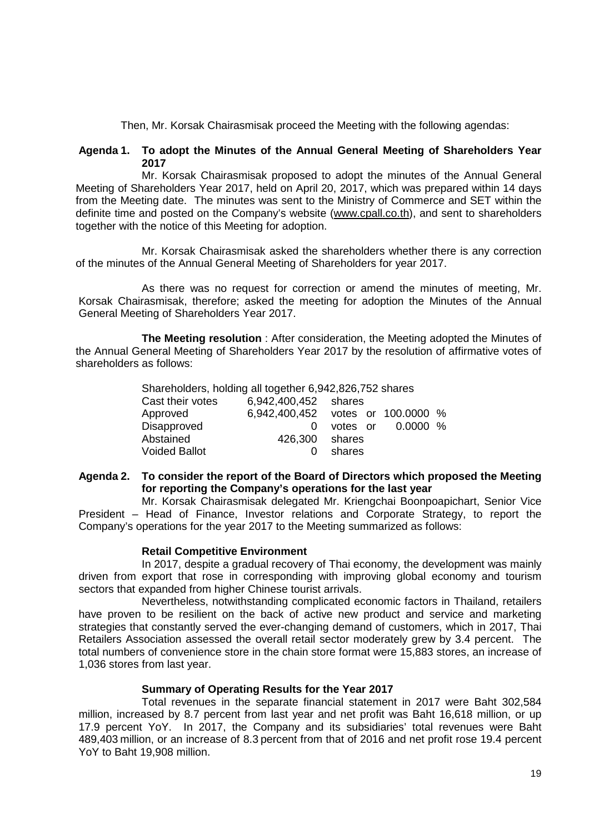Then, Mr. Korsak Chairasmisak proceed the Meeting with the following agendas:

## **Agenda 1. To adopt the Minutes of the Annual General Meeting of Shareholders Year 2017**

Mr. Korsak Chairasmisak proposed to adopt the minutes of the Annual General Meeting of Shareholders Year 2017, held on April 20, 2017, which was prepared within 14 days from the Meeting date. The minutes was sent to the Ministry of Commerce and SET within the definite time and posted on the Company's website (www.cpall.co.th), and sent to shareholders together with the notice of this Meeting for adoption.

Mr. Korsak Chairasmisak asked the shareholders whether there is any correction of the minutes of the Annual General Meeting of Shareholders for year 2017.

As there was no request for correction or amend the minutes of meeting, Mr. Korsak Chairasmisak, therefore; asked the meeting for adoption the Minutes of the Annual General Meeting of Shareholders Year 2017.

**The Meeting resolution** : After consideration, the Meeting adopted the Minutes of the Annual General Meeting of Shareholders Year 2017 by the resolution of affirmative votes of shareholders as follows:

> Shareholders, holding all together 6,942,826,752 shares Cast their votes 6,942,400,452 shares Approved 6,942,400,452 votes or 100.0000 % Disapproved 0 votes or 0.0000 % Abstained 426,300 shares Voided Ballot **0 compared 0 shares**

# **Agenda 2. To consider the report of the Board of Directors which proposed the Meeting for reporting the Company's operations for the last year**

Mr. Korsak Chairasmisak delegated Mr. Kriengchai Boonpoapichart, Senior Vice President – Head of Finance, Investor relations and Corporate Strategy, to report the Company's operations for the year 2017 to the Meeting summarized as follows:

# **Retail Competitive Environment**

In 2017, despite a gradual recovery of Thai economy, the development was mainly driven from export that rose in corresponding with improving global economy and tourism sectors that expanded from higher Chinese tourist arrivals.

Nevertheless, notwithstanding complicated economic factors in Thailand, retailers have proven to be resilient on the back of active new product and service and marketing strategies that constantly served the ever-changing demand of customers, which in 2017, Thai Retailers Association assessed the overall retail sector moderately grew by 3.4 percent. The total numbers of convenience store in the chain store format were 15,883 stores, an increase of 1,036 stores from last year.

# **Summary of Operating Results for the Year 2017**

Total revenues in the separate financial statement in 2017 were Baht 302,584 million, increased by 8.7 percent from last year and net profit was Baht 16,618 million, or up 17.9 percent YoY. In 2017, the Company and its subsidiaries' total revenues were Baht 489,403 million, or an increase of 8.3 percent from that of 2016 and net profit rose 19.4 percent YoY to Baht 19,908 million.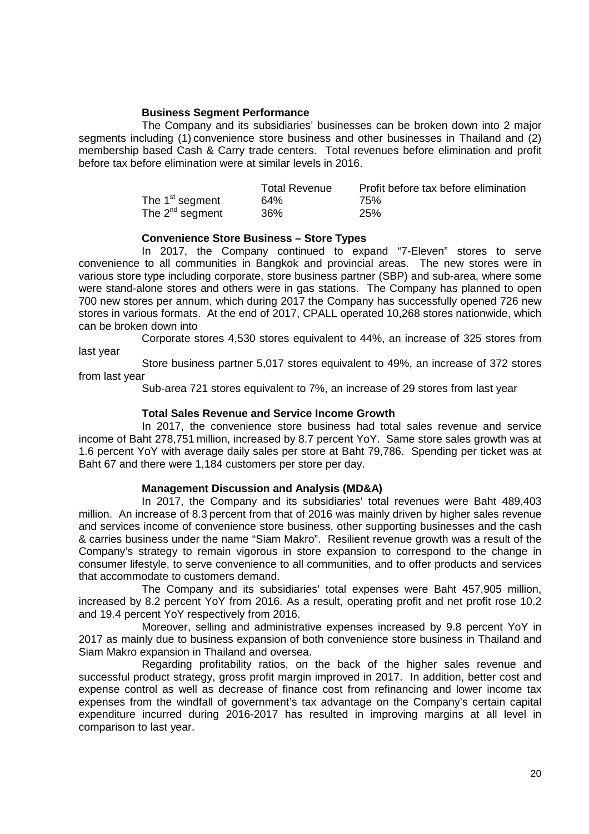### **Business Segment Performance**

The Company and its subsidiaries' businesses can be broken down into 2 major segments including (1) convenience store business and other businesses in Thailand and (2) membership based Cash & Carry trade centers. Total revenues before elimination and profit before tax before elimination were at similar levels in 2016.

|                             | <b>Total Revenue</b> | Profit before tax before elimination |
|-----------------------------|----------------------|--------------------------------------|
| The 1 <sup>st</sup> segment | 64%                  | 75%                                  |
| The $2^{nd}$ segment        | 36%                  | 25%                                  |

### **Convenience Store Business – Store Types**

In 2017, the Company continued to expand "7-Eleven" stores to serve convenience to all communities in Bangkok and provincial areas. The new stores were in various store type including corporate, store business partner (SBP) and sub-area, where some were stand-alone stores and others were in gas stations. The Company has planned to open 700 new stores per annum, which during 2017 the Company has successfully opened 726 new stores in various formats. At the end of 2017, CPALL operated 10,268 stores nationwide, which can be broken down into

Corporate stores 4,530 stores equivalent to 44%, an increase of 325 stores from last year

Store business partner 5,017 stores equivalent to 49%, an increase of 372 stores from last year

Sub-area 721 stores equivalent to 7%, an increase of 29 stores from last year

### **Total Sales Revenue and Service Income Growth**

In 2017, the convenience store business had total sales revenue and service income of Baht 278,751 million, increased by 8.7 percent YoY. Same store sales growth was at 1.6 percent YoY with average daily sales per store at Baht 79,786. Spending per ticket was at Baht 67 and there were 1,184 customers per store per day.

# **Management Discussion and Analysis (MD&A)**

In 2017, the Company and its subsidiaries' total revenues were Baht 489,403 million. An increase of 8.3 percent from that of 2016 was mainly driven by higher sales revenue and services income of convenience store business, other supporting businesses and the cash & carries business under the name "Siam Makro". Resilient revenue growth was a result of the Company's strategy to remain vigorous in store expansion to correspond to the change in consumer lifestyle, to serve convenience to all communities, and to offer products and services that accommodate to customers demand.

The Company and its subsidiaries' total expenses were Baht 457,905 million, increased by 8.2 percent YoY from 2016. As a result, operating profit and net profit rose 10.2 and 19.4 percent YoY respectively from 2016.

Moreover, selling and administrative expenses increased by 9.8 percent YoY in 2017 as mainly due to business expansion of both convenience store business in Thailand and Siam Makro expansion in Thailand and oversea.

Regarding profitability ratios, on the back of the higher sales revenue and successful product strategy, gross profit margin improved in 2017. In addition, better cost and expense control as well as decrease of finance cost from refinancing and lower income tax expenses from the windfall of government's tax advantage on the Company's certain capital expenditure incurred during 2016-2017 has resulted in improving margins at all level in comparison to last year.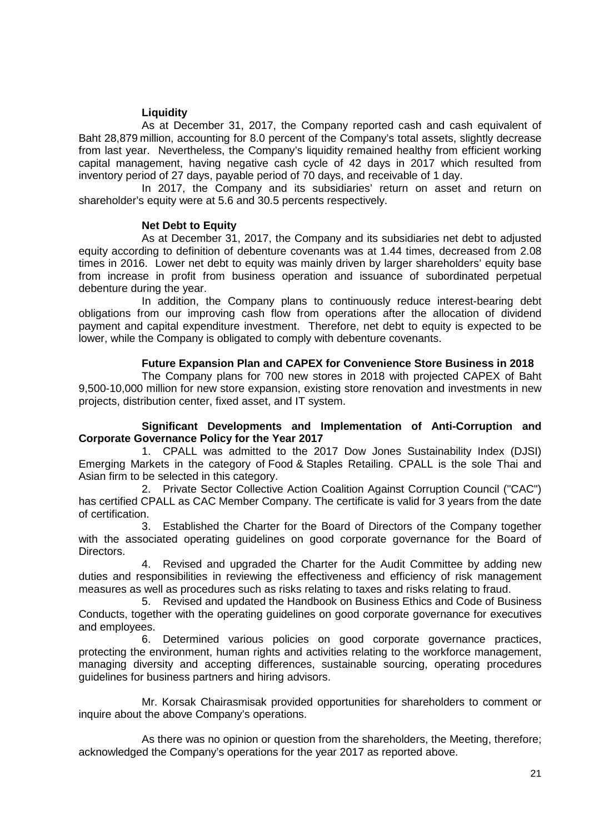# **Liquidity**

As at December 31, 2017, the Company reported cash and cash equivalent of Baht 28,879 million, accounting for 8.0 percent of the Company's total assets, slightly decrease from last year. Nevertheless, the Company's liquidity remained healthy from efficient working capital management, having negative cash cycle of 42 days in 2017 which resulted from inventory period of 27 days, payable period of 70 days, and receivable of 1 day.

In 2017, the Company and its subsidiaries' return on asset and return on shareholder's equity were at 5.6 and 30.5 percents respectively.

# **Net Debt to Equity**

As at December 31, 2017, the Company and its subsidiaries net debt to adjusted equity according to definition of debenture covenants was at 1.44 times, decreased from 2.08 times in 2016. Lower net debt to equity was mainly driven by larger shareholders' equity base from increase in profit from business operation and issuance of subordinated perpetual debenture during the year.

In addition, the Company plans to continuously reduce interest-bearing debt obligations from our improving cash flow from operations after the allocation of dividend payment and capital expenditure investment. Therefore, net debt to equity is expected to be lower, while the Company is obligated to comply with debenture covenants.

### **Future Expansion Plan and CAPEX for Convenience Store Business in 2018**

The Company plans for 700 new stores in 2018 with projected CAPEX of Baht 9,500-10,000 million for new store expansion, existing store renovation and investments in new projects, distribution center, fixed asset, and IT system.

### **Significant Developments and Implementation of Anti-Corruption and Corporate Governance Policy for the Year 2017**

1. CPALL was admitted to the 2017 Dow Jones Sustainability Index (DJSI) Emerging Markets in the category of Food & Staples Retailing. CPALL is the sole Thai and Asian firm to be selected in this category.

2. Private Sector Collective Action Coalition Against Corruption Council ("CAC") has certified CPALL as CAC Member Company. The certificate is valid for 3 years from the date of certification.

3. Established the Charter for the Board of Directors of the Company together with the associated operating guidelines on good corporate governance for the Board of Directors.

4. Revised and upgraded the Charter for the Audit Committee by adding new duties and responsibilities in reviewing the effectiveness and efficiency of risk management measures as well as procedures such as risks relating to taxes and risks relating to fraud.

5. Revised and updated the Handbook on Business Ethics and Code of Business Conducts, together with the operating guidelines on good corporate governance for executives and employees.

6. Determined various policies on good corporate governance practices, protecting the environment, human rights and activities relating to the workforce management, managing diversity and accepting differences, sustainable sourcing, operating procedures guidelines for business partners and hiring advisors.

Mr. Korsak Chairasmisak provided opportunities for shareholders to comment or inquire about the above Company's operations.

As there was no opinion or question from the shareholders, the Meeting, therefore; acknowledged the Company's operations for the year 2017 as reported above.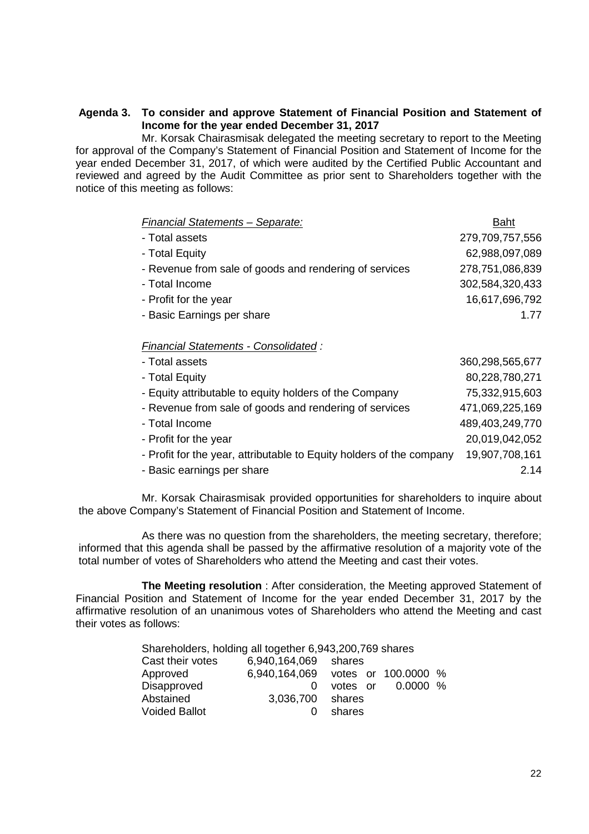## **Agenda 3. To consider and approve Statement of Financial Position and Statement of Income for the year ended December 31, 2017**

Mr. Korsak Chairasmisak delegated the meeting secretary to report to the Meeting for approval of the Company's Statement of Financial Position and Statement of Income for the year ended December 31, 2017, of which were audited by the Certified Public Accountant and reviewed and agreed by the Audit Committee as prior sent to Shareholders together with the notice of this meeting as follows:

| <b>Financial Statements - Separate:</b>                              | <b>Baht</b>     |
|----------------------------------------------------------------------|-----------------|
| - Total assets                                                       | 279,709,757,556 |
| - Total Equity                                                       | 62,988,097,089  |
| - Revenue from sale of goods and rendering of services               | 278,751,086,839 |
| - Total Income                                                       | 302,584,320,433 |
| - Profit for the year                                                | 16,617,696,792  |
| - Basic Earnings per share                                           | 1.77            |
|                                                                      |                 |
| <b>Financial Statements - Consolidated:</b>                          |                 |
| - Total assets                                                       | 360,298,565,677 |
| - Total Equity                                                       | 80,228,780,271  |
| - Equity attributable to equity holders of the Company               | 75,332,915,603  |
| - Revenue from sale of goods and rendering of services               | 471,069,225,169 |
| - Total Income                                                       | 489,403,249,770 |
| - Profit for the year                                                | 20,019,042,052  |
| - Profit for the year, attributable to Equity holders of the company | 19,907,708,161  |

- Basic earnings per share 2.14

Mr. Korsak Chairasmisak provided opportunities for shareholders to inquire about the above Company's Statement of Financial Position and Statement of Income.

As there was no question from the shareholders, the meeting secretary, therefore; informed that this agenda shall be passed by the affirmative resolution of a majority vote of the total number of votes of Shareholders who attend the Meeting and cast their votes.

**The Meeting resolution** : After consideration, the Meeting approved Statement of Financial Position and Statement of Income for the year ended December 31, 2017 by the affirmative resolution of an unanimous votes of Shareholders who attend the Meeting and cast their votes as follows:

| Shareholders, holding all together 6,943,200,769 shares |                                   |        |                   |  |  |  |
|---------------------------------------------------------|-----------------------------------|--------|-------------------|--|--|--|
| Cast their votes<br>6,940,164,069 shares                |                                   |        |                   |  |  |  |
| Approved                                                | 6.940.164.069 votes or 100.0000 % |        |                   |  |  |  |
| Disapproved                                             | 0                                 |        | votes or 0.0000 % |  |  |  |
| Abstained                                               | 3,036,700 shares                  |        |                   |  |  |  |
| <b>Voided Ballot</b>                                    |                                   | shares |                   |  |  |  |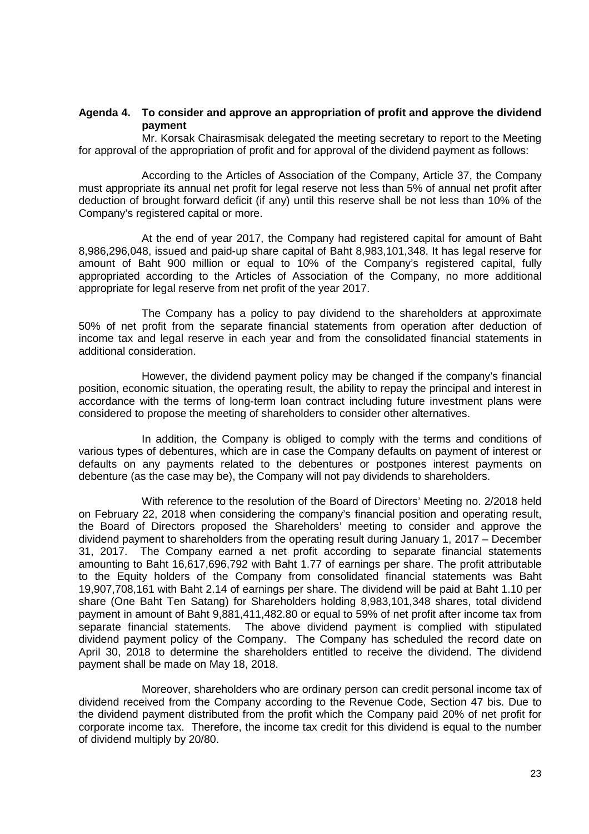### **Agenda 4. To consider and approve an appropriation of profit and approve the dividend payment**

Mr. Korsak Chairasmisak delegated the meeting secretary to report to the Meeting for approval of the appropriation of profit and for approval of the dividend payment as follows:

According to the Articles of Association of the Company, Article 37, the Company must appropriate its annual net profit for legal reserve not less than 5% of annual net profit after deduction of brought forward deficit (if any) until this reserve shall be not less than 10% of the Company's registered capital or more.

At the end of year 2017, the Company had registered capital for amount of Baht 8,986,296,048, issued and paid-up share capital of Baht 8,983,101,348. It has legal reserve for amount of Baht 900 million or equal to 10% of the Company's registered capital, fully appropriated according to the Articles of Association of the Company, no more additional appropriate for legal reserve from net profit of the year 2017.

The Company has a policy to pay dividend to the shareholders at approximate 50% of net profit from the separate financial statements from operation after deduction of income tax and legal reserve in each year and from the consolidated financial statements in additional consideration.

However, the dividend payment policy may be changed if the company's financial position, economic situation, the operating result, the ability to repay the principal and interest in accordance with the terms of long-term loan contract including future investment plans were considered to propose the meeting of shareholders to consider other alternatives.

In addition, the Company is obliged to comply with the terms and conditions of various types of debentures, which are in case the Company defaults on payment of interest or defaults on any payments related to the debentures or postpones interest payments on debenture (as the case may be), the Company will not pay dividends to shareholders.

With reference to the resolution of the Board of Directors' Meeting no. 2/2018 held on February 22, 2018 when considering the company's financial position and operating result, the Board of Directors proposed the Shareholders' meeting to consider and approve the dividend payment to shareholders from the operating result during January 1, 2017 – December 31, 2017. The Company earned a net profit according to separate financial statements amounting to Baht 16,617,696,792 with Baht 1.77 of earnings per share. The profit attributable to the Equity holders of the Company from consolidated financial statements was Baht 19,907,708,161 with Baht 2.14 of earnings per share. The dividend will be paid at Baht 1.10 per share (One Baht Ten Satang) for Shareholders holding 8,983,101,348 shares, total dividend payment in amount of Baht 9,881,411,482.80 or equal to 59% of net profit after income tax from separate financial statements. The above dividend payment is complied with stipulated dividend payment policy of the Company. The Company has scheduled the record date on April 30, 2018 to determine the shareholders entitled to receive the dividend. The dividend payment shall be made on May 18, 2018.

Moreover, shareholders who are ordinary person can credit personal income tax of dividend received from the Company according to the Revenue Code, Section 47 bis. Due to the dividend payment distributed from the profit which the Company paid 20% of net profit for corporate income tax. Therefore, the income tax credit for this dividend is equal to the number of dividend multiply by 20/80.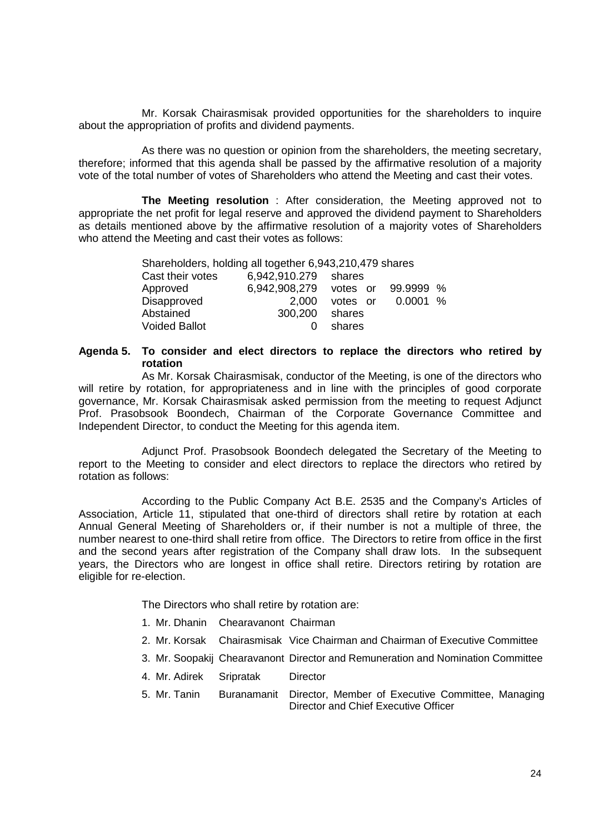Mr. Korsak Chairasmisak provided opportunities for the shareholders to inquire about the appropriation of profits and dividend payments.

As there was no question or opinion from the shareholders, the meeting secretary, therefore; informed that this agenda shall be passed by the affirmative resolution of a majority vote of the total number of votes of Shareholders who attend the Meeting and cast their votes.

**The Meeting resolution** : After consideration, the Meeting approved not to appropriate the net profit for legal reserve and approved the dividend payment to Shareholders as details mentioned above by the affirmative resolution of a majority votes of Shareholders who attend the Meeting and cast their votes as follows:

| Shareholders, holding all together 6,943,210,479 shares |                                  |          |          |  |  |  |
|---------------------------------------------------------|----------------------------------|----------|----------|--|--|--|
| Cast their votes<br>6,942,910.279 shares                |                                  |          |          |  |  |  |
| Approved                                                | 6,942,908,279 votes or 99.9999 % |          |          |  |  |  |
| Disapproved                                             | 2,000                            | votes or | 0.0001 % |  |  |  |
| Abstained                                               | 300,200                          | shares   |          |  |  |  |
| <b>Voided Ballot</b>                                    |                                  | shares   |          |  |  |  |

## **Agenda 5. To consider and elect directors to replace the directors who retired by rotation**

As Mr. Korsak Chairasmisak, conductor of the Meeting, is one of the directors who will retire by rotation, for appropriateness and in line with the principles of good corporate governance, Mr. Korsak Chairasmisak asked permission from the meeting to request Adjunct Prof. Prasobsook Boondech, Chairman of the Corporate Governance Committee and Independent Director, to conduct the Meeting for this agenda item.

Adjunct Prof. Prasobsook Boondech delegated the Secretary of the Meeting to report to the Meeting to consider and elect directors to replace the directors who retired by rotation as follows:

According to the Public Company Act B.E. 2535 and the Company's Articles of Association, Article 11, stipulated that one-third of directors shall retire by rotation at each Annual General Meeting of Shareholders or, if their number is not a multiple of three, the number nearest to one-third shall retire from office. The Directors to retire from office in the first and the second years after registration of the Company shall draw lots. In the subsequent years, the Directors who are longest in office shall retire. Directors retiring by rotation are eligible for re-election.

The Directors who shall retire by rotation are:

- 1. Mr. Dhanin Chearavanont Chairman
- 2. Mr. Korsak Chairasmisak Vice Chairman and Chairman of Executive Committee
- 3. Mr. Soopakij Chearavanont Director and Remuneration and Nomination Committee
- 4. Mr. Adirek Sripratak Director
- 5. Mr. Tanin Buranamanit Director, Member of Executive Committee, Managing Director and Chief Executive Officer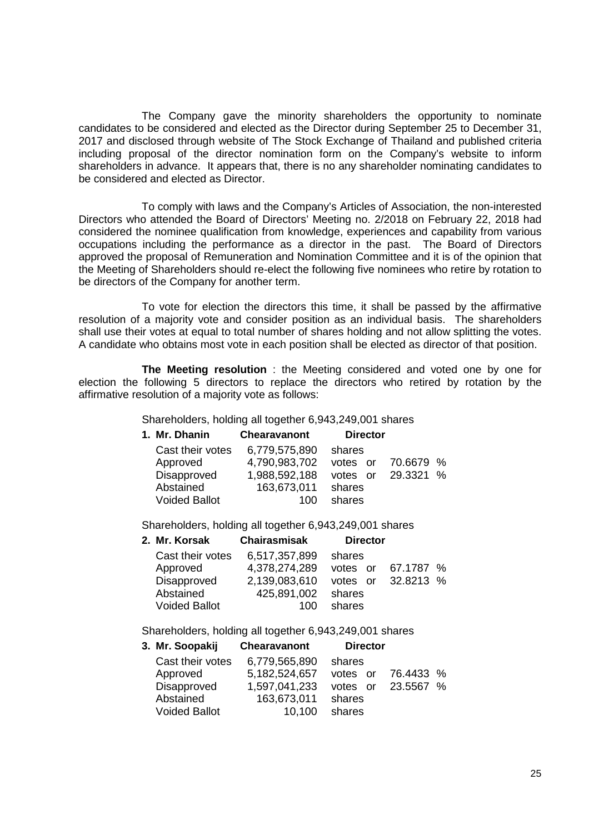The Company gave the minority shareholders the opportunity to nominate candidates to be considered and elected as the Director during September 25 to December 31, 2017 and disclosed through website of The Stock Exchange of Thailand and published criteria including proposal of the director nomination form on the Company's website to inform shareholders in advance. It appears that, there is no any shareholder nominating candidates to be considered and elected as Director.

To comply with laws and the Company's Articles of Association, the non-interested Directors who attended the Board of Directors' Meeting no. 2/2018 on February 22, 2018 had considered the nominee qualification from knowledge, experiences and capability from various occupations including the performance as a director in the past. The Board of Directors approved the proposal of Remuneration and Nomination Committee and it is of the opinion that the Meeting of Shareholders should re-elect the following five nominees who retire by rotation to be directors of the Company for another term.

To vote for election the directors this time, it shall be passed by the affirmative resolution of a majority vote and consider position as an individual basis. The shareholders shall use their votes at equal to total number of shares holding and not allow splitting the votes. A candidate who obtains most vote in each position shall be elected as director of that position.

**The Meeting resolution** : the Meeting considered and voted one by one for election the following 5 directors to replace the directors who retired by rotation by the affirmative resolution of a majority vote as follows:

Shareholders, holding all together 6,943,249,001 shares

| <b>Chearavanont</b>               | <b>Director</b> |                        |
|-----------------------------------|-----------------|------------------------|
| Cast their votes<br>6,779,575,890 | shares          |                        |
| 4,790,983,702                     | votes or        |                        |
| Disapproved<br>1,988,592,188      | votes or        |                        |
| 163,673,011                       | shares          |                        |
| <b>Voided Ballot</b><br>100       | shares          |                        |
|                                   |                 | 70.6679 %<br>29.3321 % |

Shareholders, holding all together 6,943,249,001 shares

| 2. Mr. Korsak        | <b>Chairasmisak</b> | <b>Director</b>       |  |
|----------------------|---------------------|-----------------------|--|
| Cast their votes     | 6,517,357,899       | shares                |  |
| Approved             | 4,378,274,289       | 67.1787 %<br>votes or |  |
| Disapproved          | 2,139,083,610       | votes or 32,8213 %    |  |
| Abstained            | 425,891,002         | shares                |  |
| <b>Voided Ballot</b> | 100                 | shares                |  |
|                      |                     |                       |  |

Shareholders, holding all together 6,943,249,001 shares

| <b>Chearavanont</b>                                                                                 | <b>Director</b>       |  |
|-----------------------------------------------------------------------------------------------------|-----------------------|--|
| 6,779,565,890                                                                                       | shares                |  |
| 5,182,524,657                                                                                       | 76.4433 %<br>votes or |  |
| 1,597,041,233                                                                                       | 23.5567 %<br>votes or |  |
| 163,673,011                                                                                         | shares                |  |
| 10.100                                                                                              | shares                |  |
| 3. Mr. Soopakij<br>Cast their votes<br>Approved<br>Disapproved<br>Abstained<br><b>Voided Ballot</b> |                       |  |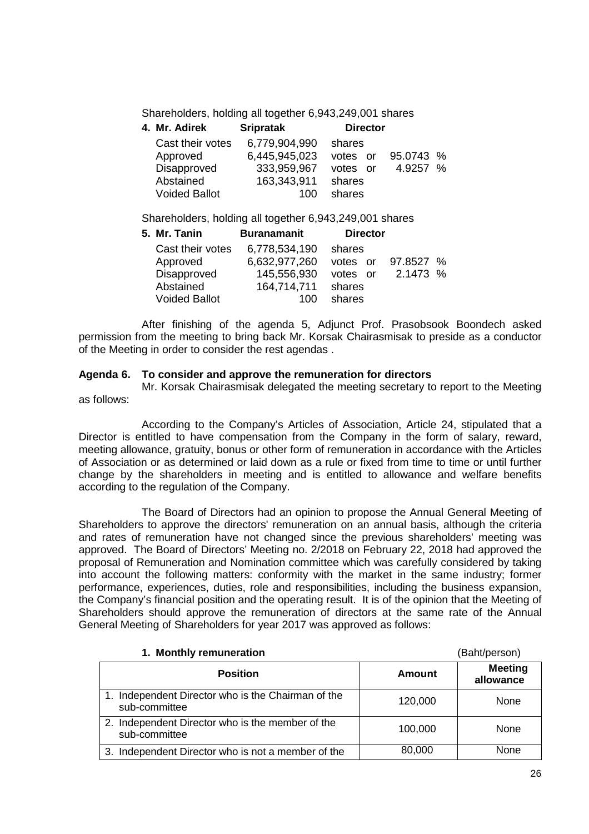Shareholders, holding all together 6,943,249,001 shares

| 4. Mr. Adirek        | <b>Sripratak</b> | <b>Director</b> |           |
|----------------------|------------------|-----------------|-----------|
| Cast their votes     | 6,779,904,990    | shares          |           |
| Approved             | 6,445,945,023    | votes or        | 95.0743 % |
| Disapproved          | 333,959,967      | votes or        | 4.9257 %  |
| Abstained            | 163,343,911      | shares          |           |
| <b>Voided Ballot</b> | 100              | shares          |           |

Shareholders, holding all together 6,943,249,001 shares

| 5. Mr. Tanin         | <b>Buranamanit</b> | <b>Director</b>       |  |
|----------------------|--------------------|-----------------------|--|
| Cast their votes     | 6,778,534,190      | shares                |  |
| Approved             | 6,632,977,260      | 97.8527 %<br>votes or |  |
| Disapproved          | 145,556,930        | 2.1473 %<br>votes or  |  |
| Abstained            | 164,714,711        | shares                |  |
| <b>Voided Ballot</b> | 100                | shares                |  |

After finishing of the agenda 5, Adjunct Prof. Prasobsook Boondech asked permission from the meeting to bring back Mr. Korsak Chairasmisak to preside as a conductor of the Meeting in order to consider the rest agendas .

# **Agenda 6. To consider and approve the remuneration for directors**

Mr. Korsak Chairasmisak delegated the meeting secretary to report to the Meeting as follows:

According to the Company's Articles of Association, Article 24, stipulated that a Director is entitled to have compensation from the Company in the form of salary, reward, meeting allowance, gratuity, bonus or other form of remuneration in accordance with the Articles of Association or as determined or laid down as a rule or fixed from time to time or until further change by the shareholders in meeting and is entitled to allowance and welfare benefits according to the regulation of the Company.

The Board of Directors had an opinion to propose the Annual General Meeting of Shareholders to approve the directors' remuneration on an annual basis, although the criteria and rates of remuneration have not changed since the previous shareholders' meeting was approved. The Board of Directors' Meeting no. 2/2018 on February 22, 2018 had approved the proposal of Remuneration and Nomination committee which was carefully considered by taking into account the following matters: conformity with the market in the same industry; former performance, experiences, duties, role and responsibilities, including the business expansion, the Company's financial position and the operating result. It is of the opinion that the Meeting of Shareholders should approve the remuneration of directors at the same rate of the Annual General Meeting of Shareholders for year 2017 was approved as follows:

#### **1. Monthly remuneration** (Baht/person)

| <b>Position</b>                                                     | Amount  | <b>Meeting</b><br>allowance |  |
|---------------------------------------------------------------------|---------|-----------------------------|--|
| 1. Independent Director who is the Chairman of the<br>sub-committee | 120,000 | None                        |  |
| 2. Independent Director who is the member of the<br>sub-committee   | 100,000 | None                        |  |
| 3. Independent Director who is not a member of the                  | 80,000  | None                        |  |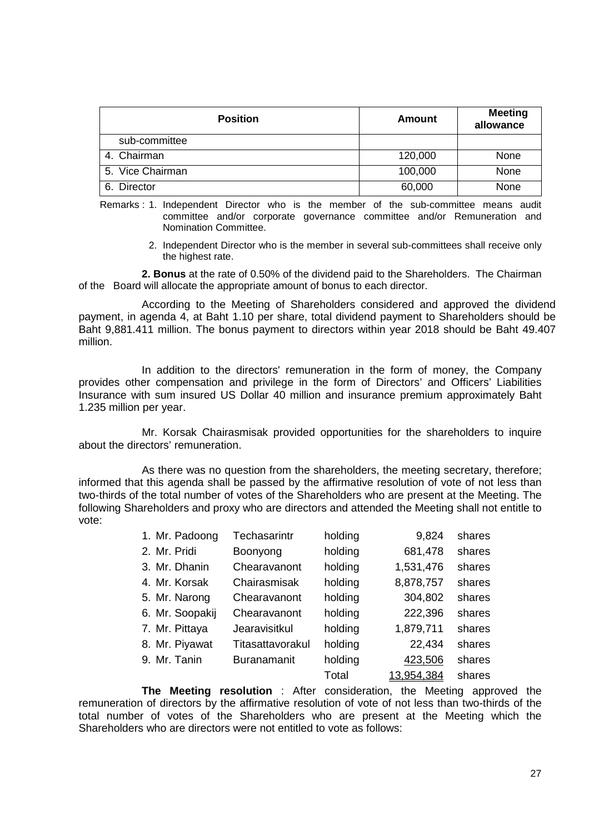| <b>Position</b>  | <b>Amount</b> | <b>Meeting</b><br>allowance |
|------------------|---------------|-----------------------------|
| sub-committee    |               |                             |
| 4. Chairman      | 120,000       | None                        |
| 5. Vice Chairman | 100,000       | None                        |
| 6. Director      | 60,000        | None                        |

Remarks : 1. Independent Director who is the member of the sub-committee means audit committee and/or corporate governance committee and/or Remuneration and Nomination Committee.

> 2. Independent Director who is the member in several sub-committees shall receive only the highest rate.

**2. Bonus** at the rate of 0.50% of the dividend paid to the Shareholders. The Chairman of the Board will allocate the appropriate amount of bonus to each director.

According to the Meeting of Shareholders considered and approved the dividend payment, in agenda 4, at Baht 1.10 per share, total dividend payment to Shareholders should be Baht 9,881.411 million. The bonus payment to directors within year 2018 should be Baht 49.407 million.

In addition to the directors' remuneration in the form of money, the Company provides other compensation and privilege in the form of Directors' and Officers' Liabilities Insurance with sum insured US Dollar 40 million and insurance premium approximately Baht 1.235 million per year.

Mr. Korsak Chairasmisak provided opportunities for the shareholders to inquire about the directors' remuneration.

As there was no question from the shareholders, the meeting secretary, therefore; informed that this agenda shall be passed by the affirmative resolution of vote of not less than two-thirds of the total number of votes of the Shareholders who are present at the Meeting. The following Shareholders and proxy who are directors and attended the Meeting shall not entitle to vote:

| 1. Mr. Padoong  | Techasarintr       | holding | 9,824      | shares |
|-----------------|--------------------|---------|------------|--------|
| 2. Mr. Pridi    | Boonyong           | holding | 681,478    | shares |
| 3. Mr. Dhanin   | Chearavanont       | holding | 1,531,476  | shares |
| 4. Mr. Korsak   | Chairasmisak       | holding | 8,878,757  | shares |
| 5. Mr. Narong   | Chearavanont       | holding | 304,802    | shares |
| 6. Mr. Soopakij | Chearavanont       | holding | 222,396    | shares |
| 7. Mr. Pittaya  | Jearavisitkul      | holding | 1,879,711  | shares |
| 8. Mr. Piyawat  | Titasattavorakul   | holding | 22,434     | shares |
| 9. Mr. Tanin    | <b>Buranamanit</b> | holding | 423,506    | shares |
|                 |                    | Total   | 13,954,384 | shares |

**The Meeting resolution** : After consideration, the Meeting approved the remuneration of directors by the affirmative resolution of vote of not less than two-thirds of the total number of votes of the Shareholders who are present at the Meeting which the Shareholders who are directors were not entitled to vote as follows: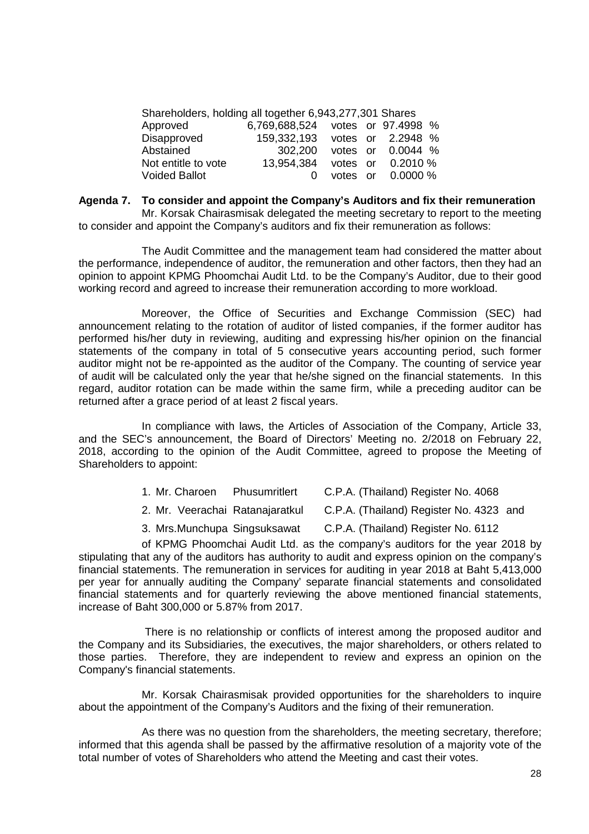| Shareholders, holding all together 6,943,277,301 Shares |                                  |  |                   |  |
|---------------------------------------------------------|----------------------------------|--|-------------------|--|
| Approved                                                | 6,769,688,524 votes or 97.4998 % |  |                   |  |
| Disapproved                                             | 159,332,193 votes or 2.2948 %    |  |                   |  |
| Abstained                                               | 302.200                          |  | votes or 0.0044 % |  |
| Not entitle to vote                                     | 13,954,384                       |  | votes or 0.2010 % |  |
| <b>Voided Ballot</b>                                    |                                  |  | votes or 0.0000 % |  |

#### **Agenda 7. To consider and appoint the Company's Auditors and fix their remuneration**

Mr. Korsak Chairasmisak delegated the meeting secretary to report to the meeting to consider and appoint the Company's auditors and fix their remuneration as follows:

The Audit Committee and the management team had considered the matter about the performance, independence of auditor, the remuneration and other factors, then they had an opinion to appoint KPMG Phoomchai Audit Ltd. to be the Company's Auditor, due to their good working record and agreed to increase their remuneration according to more workload.

Moreover, the Office of Securities and Exchange Commission (SEC) had announcement relating to the rotation of auditor of listed companies, if the former auditor has performed his/her duty in reviewing, auditing and expressing his/her opinion on the financial statements of the company in total of 5 consecutive years accounting period, such former auditor might not be re-appointed as the auditor of the Company. The counting of service year of audit will be calculated only the year that he/she signed on the financial statements. In this regard, auditor rotation can be made within the same firm, while a preceding auditor can be returned after a grace period of at least 2 fiscal years.

In compliance with laws, the Articles of Association of the Company, Article 33, and the SEC's announcement, the Board of Directors' Meeting no. 2/2018 on February 22, 2018, according to the opinion of the Audit Committee, agreed to propose the Meeting of Shareholders to appoint:

- 1. Mr. Charoen Phusumritlert C.P.A. (Thailand) Register No. 4068
- 2. Mr. Veerachai Ratanajaratkul C.P.A. (Thailand) Register No. 4323 and
- 3. Mrs.Munchupa Singsuksawat C.P.A. (Thailand) Register No. 6112

of KPMG Phoomchai Audit Ltd. as the company's auditors for the year 2018 by stipulating that any of the auditors has authority to audit and express opinion on the company's financial statements. The remuneration in services for auditing in year 2018 at Baht 5,413,000 per year for annually auditing the Company' separate financial statements and consolidated financial statements and for quarterly reviewing the above mentioned financial statements, increase of Baht 300,000 or 5.87% from 2017.

 There is no relationship or conflicts of interest among the proposed auditor and the Company and its Subsidiaries, the executives, the major shareholders, or others related to those parties. Therefore, they are independent to review and express an opinion on the Company's financial statements.

Mr. Korsak Chairasmisak provided opportunities for the shareholders to inquire about the appointment of the Company's Auditors and the fixing of their remuneration.

As there was no question from the shareholders, the meeting secretary, therefore; informed that this agenda shall be passed by the affirmative resolution of a majority vote of the total number of votes of Shareholders who attend the Meeting and cast their votes.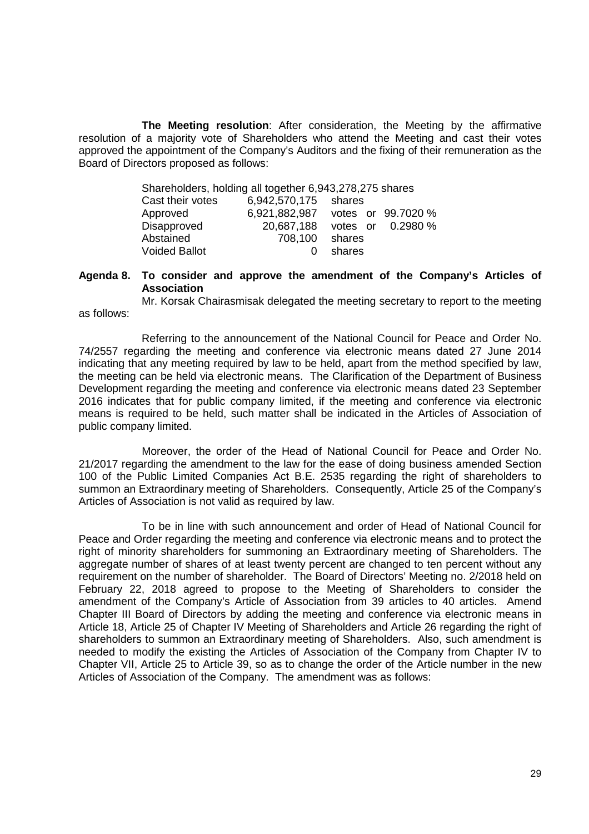**The Meeting resolution**: After consideration, the Meeting by the affirmative resolution of a majority vote of Shareholders who attend the Meeting and cast their votes approved the appointment of the Company's Auditors and the fixing of their remuneration as the Board of Directors proposed as follows:

| Shareholders, holding all together 6,943,278,275 shares |                      |        |                    |
|---------------------------------------------------------|----------------------|--------|--------------------|
| Cast their votes                                        | 6,942,570,175 shares |        |                    |
| Approved                                                | 6,921,882,987        |        | votes or 99.7020 % |
| Disapproved                                             | 20,687,188           |        | votes or 0.2980 %  |
| Abstained                                               | 708,100              | shares |                    |
| <b>Voided Ballot</b>                                    |                      | shares |                    |

as follows:

## **Agenda 8. To consider and approve the amendment of the Company's Articles of Association**

Mr. Korsak Chairasmisak delegated the meeting secretary to report to the meeting

Referring to the announcement of the National Council for Peace and Order No. 74/2557 regarding the meeting and conference via electronic means dated 27 June 2014 indicating that any meeting required by law to be held, apart from the method specified by law, the meeting can be held via electronic means. The Clarification of the Department of Business Development regarding the meeting and conference via electronic means dated 23 September 2016 indicates that for public company limited, if the meeting and conference via electronic means is required to be held, such matter shall be indicated in the Articles of Association of public company limited.

Moreover, the order of the Head of National Council for Peace and Order No. 21/2017 regarding the amendment to the law for the ease of doing business amended Section 100 of the Public Limited Companies Act B.E. 2535 regarding the right of shareholders to summon an Extraordinary meeting of Shareholders. Consequently, Article 25 of the Company's Articles of Association is not valid as required by law.

To be in line with such announcement and order of Head of National Council for Peace and Order regarding the meeting and conference via electronic means and to protect the right of minority shareholders for summoning an Extraordinary meeting of Shareholders. The aggregate number of shares of at least twenty percent are changed to ten percent without any requirement on the number of shareholder. The Board of Directors' Meeting no. 2/2018 held on February 22, 2018 agreed to propose to the Meeting of Shareholders to consider the amendment of the Company's Article of Association from 39 articles to 40 articles. Amend Chapter III Board of Directors by adding the meeting and conference via electronic means in Article 18, Article 25 of Chapter IV Meeting of Shareholders and Article 26 regarding the right of shareholders to summon an Extraordinary meeting of Shareholders. Also, such amendment is needed to modify the existing the Articles of Association of the Company from Chapter IV to Chapter VII, Article 25 to Article 39, so as to change the order of the Article number in the new Articles of Association of the Company. The amendment was as follows: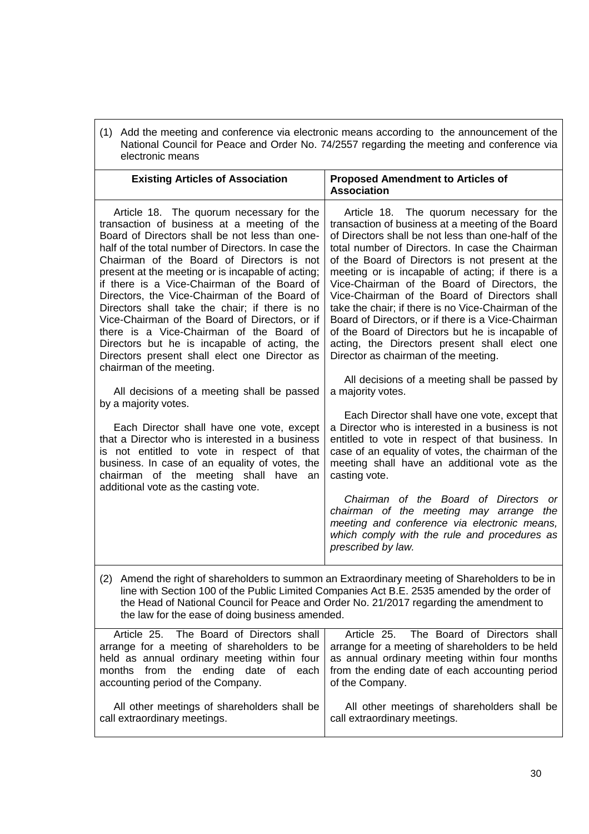(1) Add the meeting and conference via electronic means according to the announcement of the National Council for Peace and Order No. 74/2557 regarding the meeting and conference via electronic means

| <b>Existing Articles of Association</b>                                                                                                                                                                                                                                                                                                                                                                                                                                                                                                                                                                                                                                                                                     | <b>Proposed Amendment to Articles of</b><br><b>Association</b>                                                                                                                                                                                                                                                                                                                                                                                                                                                                                                                                                                                                                                                                                  |  |
|-----------------------------------------------------------------------------------------------------------------------------------------------------------------------------------------------------------------------------------------------------------------------------------------------------------------------------------------------------------------------------------------------------------------------------------------------------------------------------------------------------------------------------------------------------------------------------------------------------------------------------------------------------------------------------------------------------------------------------|-------------------------------------------------------------------------------------------------------------------------------------------------------------------------------------------------------------------------------------------------------------------------------------------------------------------------------------------------------------------------------------------------------------------------------------------------------------------------------------------------------------------------------------------------------------------------------------------------------------------------------------------------------------------------------------------------------------------------------------------------|--|
| Article 18. The quorum necessary for the<br>transaction of business at a meeting of the<br>Board of Directors shall be not less than one-<br>half of the total number of Directors. In case the<br>Chairman of the Board of Directors is not<br>present at the meeting or is incapable of acting;<br>if there is a Vice-Chairman of the Board of<br>Directors, the Vice-Chairman of the Board of<br>Directors shall take the chair; if there is no<br>Vice-Chairman of the Board of Directors, or if<br>there is a Vice-Chairman of the Board of<br>Directors but he is incapable of acting, the<br>Directors present shall elect one Director as<br>chairman of the meeting.<br>All decisions of a meeting shall be passed | Article 18. The quorum necessary for the<br>transaction of business at a meeting of the Board<br>of Directors shall be not less than one-half of the<br>total number of Directors. In case the Chairman<br>of the Board of Directors is not present at the<br>meeting or is incapable of acting; if there is a<br>Vice-Chairman of the Board of Directors, the<br>Vice-Chairman of the Board of Directors shall<br>take the chair; if there is no Vice-Chairman of the<br>Board of Directors, or if there is a Vice-Chairman<br>of the Board of Directors but he is incapable of<br>acting, the Directors present shall elect one<br>Director as chairman of the meeting.<br>All decisions of a meeting shall be passed by<br>a majority votes. |  |
| by a majority votes.<br>Each Director shall have one vote, except<br>that a Director who is interested in a business<br>is not entitled to vote in respect of that<br>business. In case of an equality of votes, the<br>chairman of the meeting shall have an<br>additional vote as the casting vote.                                                                                                                                                                                                                                                                                                                                                                                                                       | Each Director shall have one vote, except that<br>a Director who is interested in a business is not<br>entitled to vote in respect of that business. In<br>case of an equality of votes, the chairman of the<br>meeting shall have an additional vote as the<br>casting vote.<br>Chairman of the Board of Directors or<br>chairman of the meeting may arrange the<br>meeting and conference via electronic means,<br>which comply with the rule and procedures as<br>prescribed by law.                                                                                                                                                                                                                                                         |  |
| Amend the right of shareholders to summon an Extraordinary meeting of Shareholders to be in<br>(2)<br>line with Section 100 of the Public Limited Companies Act B.E. 2535 amended by the order of<br>the Head of National Council for Peace and Order No. 21/2017 regarding the amendment to<br>the law for the ease of doing business amended.                                                                                                                                                                                                                                                                                                                                                                             |                                                                                                                                                                                                                                                                                                                                                                                                                                                                                                                                                                                                                                                                                                                                                 |  |
| Article 25.<br>The Board of Directors shall                                                                                                                                                                                                                                                                                                                                                                                                                                                                                                                                                                                                                                                                                 | Article 25. The Board of Directors shall<br>arrange for a mooting of shareholders to be arrange for a mooting of shareholders to be hold                                                                                                                                                                                                                                                                                                                                                                                                                                                                                                                                                                                                        |  |

| ATTICLE 25. THE DOATU OF DIFFECTORS STRILL<br>Alticle 25. The Doald of Difectors Shall               |
|------------------------------------------------------------------------------------------------------|
| arrange for a meeting of shareholders to be $\vert$ arrange for a meeting of shareholders to be held |
| held as annual ordinary meeting within four $\vert$ as annual ordinary meeting within four months    |
| months from the ending date of each from the ending date of each accounting period                   |
| of the Company.                                                                                      |
|                                                                                                      |
| All other meetings of shareholders shall be                                                          |
| call extraordinary meetings.                                                                         |
|                                                                                                      |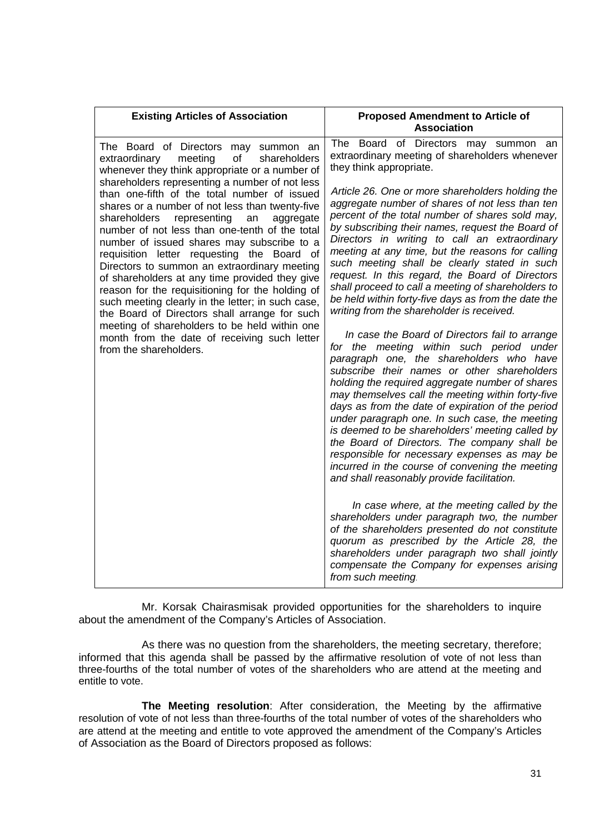| <b>Existing Articles of Association</b>                                                                                                                                                                                                                                                                                                                                                                                                                                                                                                                                                                                                                                                                                                                                                                                                                                                  | <b>Proposed Amendment to Article of</b><br><b>Association</b>                                                                                                                                                                                                                                                                                                                                                                                                                                                                                                                                                                                                                                                                                                                                                                                                                                                                                                                                                                                                                                                                                                                                                                                                                                                                                                                                                                                                                                                                                                                                                                                                                         |
|------------------------------------------------------------------------------------------------------------------------------------------------------------------------------------------------------------------------------------------------------------------------------------------------------------------------------------------------------------------------------------------------------------------------------------------------------------------------------------------------------------------------------------------------------------------------------------------------------------------------------------------------------------------------------------------------------------------------------------------------------------------------------------------------------------------------------------------------------------------------------------------|---------------------------------------------------------------------------------------------------------------------------------------------------------------------------------------------------------------------------------------------------------------------------------------------------------------------------------------------------------------------------------------------------------------------------------------------------------------------------------------------------------------------------------------------------------------------------------------------------------------------------------------------------------------------------------------------------------------------------------------------------------------------------------------------------------------------------------------------------------------------------------------------------------------------------------------------------------------------------------------------------------------------------------------------------------------------------------------------------------------------------------------------------------------------------------------------------------------------------------------------------------------------------------------------------------------------------------------------------------------------------------------------------------------------------------------------------------------------------------------------------------------------------------------------------------------------------------------------------------------------------------------------------------------------------------------|
| The Board of Directors may<br>summon an<br>of<br>shareholders<br>extraordinary<br>meeting<br>whenever they think appropriate or a number of<br>shareholders representing a number of not less<br>than one-fifth of the total number of issued<br>shares or a number of not less than twenty-five<br>shareholders<br>representing<br>an<br>aggregate<br>number of not less than one-tenth of the total<br>number of issued shares may subscribe to a<br>requisition letter requesting the Board of<br>Directors to summon an extraordinary meeting<br>of shareholders at any time provided they give<br>reason for the requisitioning for the holding of<br>such meeting clearly in the letter; in such case,<br>the Board of Directors shall arrange for such<br>meeting of shareholders to be held within one<br>month from the date of receiving such letter<br>from the shareholders. | The Board of Directors may summon an<br>extraordinary meeting of shareholders whenever<br>they think appropriate.<br>Article 26. One or more shareholders holding the<br>aggregate number of shares of not less than ten<br>percent of the total number of shares sold may,<br>by subscribing their names, request the Board of<br>Directors in writing to call an extraordinary<br>meeting at any time, but the reasons for calling<br>such meeting shall be clearly stated in such<br>request. In this regard, the Board of Directors<br>shall proceed to call a meeting of shareholders to<br>be held within forty-five days as from the date the<br>writing from the shareholder is received.<br>In case the Board of Directors fail to arrange<br>for the meeting within such period under<br>paragraph one, the shareholders who have<br>subscribe their names or other shareholders<br>holding the required aggregate number of shares<br>may themselves call the meeting within forty-five<br>days as from the date of expiration of the period<br>under paragraph one. In such case, the meeting<br>is deemed to be shareholders' meeting called by<br>the Board of Directors. The company shall be<br>responsible for necessary expenses as may be<br>incurred in the course of convening the meeting<br>and shall reasonably provide facilitation.<br>In case where, at the meeting called by the<br>shareholders under paragraph two, the number<br>of the shareholders presented do not constitute<br>quorum as prescribed by the Article 28, the<br>shareholders under paragraph two shall jointly<br>compensate the Company for expenses arising<br>from such meeting. |

Mr. Korsak Chairasmisak provided opportunities for the shareholders to inquire about the amendment of the Company's Articles of Association.

As there was no question from the shareholders, the meeting secretary, therefore; informed that this agenda shall be passed by the affirmative resolution of vote of not less than three-fourths of the total number of votes of the shareholders who are attend at the meeting and entitle to vote.

**The Meeting resolution**: After consideration, the Meeting by the affirmative resolution of vote of not less than three-fourths of the total number of votes of the shareholders who are attend at the meeting and entitle to vote approved the amendment of the Company's Articles of Association as the Board of Directors proposed as follows: